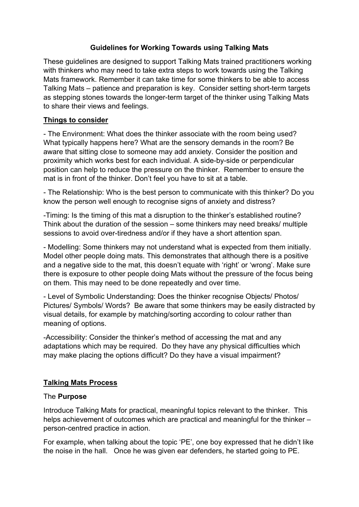# **Guidelines for Working Towards using Talking Mats**

These guidelines are designed to support Talking Mats trained practitioners working with thinkers who may need to take extra steps to work towards using the Talking Mats framework. Remember it can take time for some thinkers to be able to access Talking Mats – patience and preparation is key. Consider setting short-term targets as stepping stones towards the longer-term target of the thinker using Talking Mats to share their views and feelings.

## **Things to consider**

- The Environment: What does the thinker associate with the room being used? What typically happens here? What are the sensory demands in the room? Be aware that sitting close to someone may add anxiety. Consider the position and proximity which works best for each individual. A side-by-side or perpendicular position can help to reduce the pressure on the thinker. Remember to ensure the mat is in front of the thinker. Don't feel you have to sit at a table.

- The Relationship: Who is the best person to communicate with this thinker? Do you know the person well enough to recognise signs of anxiety and distress?

-Timing: Is the timing of this mat a disruption to the thinker's established routine? Think about the duration of the session – some thinkers may need breaks/ multiple sessions to avoid over-tiredness and/or if they have a short attention span.

- Modelling: Some thinkers may not understand what is expected from them initially. Model other people doing mats. This demonstrates that although there is a positive and a negative side to the mat, this doesn't equate with 'right' or 'wrong'. Make sure there is exposure to other people doing Mats without the pressure of the focus being on them. This may need to be done repeatedly and over time.

- Level of Symbolic Understanding: Does the thinker recognise Objects/ Photos/ Pictures/ Symbols/ Words? Be aware that some thinkers may be easily distracted by visual details, for example by matching/sorting according to colour rather than meaning of options.

-Accessibility: Consider the thinker's method of accessing the mat and any adaptations which may be required. Do they have any physical difficulties which may make placing the options difficult? Do they have a visual impairment?

## **Talking Mats Process**

#### The **Purpose**

Introduce Talking Mats for practical, meaningful topics relevant to the thinker. This helps achievement of outcomes which are practical and meaningful for the thinker – person-centred practice in action.

For example, when talking about the topic 'PE', one boy expressed that he didn't like the noise in the hall. Once he was given ear defenders, he started going to PE.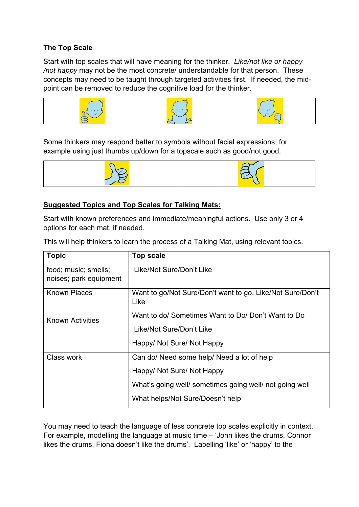## **The Top Scale**

Start with top scales that will have meaning for the thinker. *Like/not like or happy /not happy* may not be the most concrete/ understandable for that person. These concepts may need to be taught through targeted activities first. If needed, the midpoint can be removed to reduce the cognitive load for the thinker.



Some thinkers may respond better to symbols without facial expressions, for example using just thumbs up/down for a topscale such as good/not good.



#### **Suggested Topics and Top Scales for Talking Mats:**

Start with known preferences and immediate/meaningful actions. Use only 3 or 4 options for each mat, if needed.

This will help thinkers to learn the process of a Talking Mat, using relevant topics.

| <b>Topic</b>                                   | <b>Top scale</b>                                                  |
|------------------------------------------------|-------------------------------------------------------------------|
| food; music; smells;<br>noises; park equipment | Like/Not Sure/Don't Like                                          |
| <b>Known Places</b>                            | Want to go/Not Sure/Don't want to go, Like/Not Sure/Don't<br>Like |
| Known Activities                               | Want to do/ Sometimes Want to Do/ Don't Want to Do                |
|                                                | Like/Not Sure/Don't Like                                          |
|                                                | Happy/ Not Sure/ Not Happy                                        |
| Class work                                     | Can do/ Need some help/ Need a lot of help                        |
|                                                | Happy/ Not Sure/ Not Happy                                        |
|                                                | What's going well/ sometimes going well/ not going well           |
|                                                | What helps/Not Sure/Doesn't help                                  |

You may need to teach the language of less concrete top scales explicitly in context. For example, modelling the language at music time – 'John likes the drums, Connor likes the drums, Fiona doesn't like the drums'. Labelling 'like' or 'happy' to the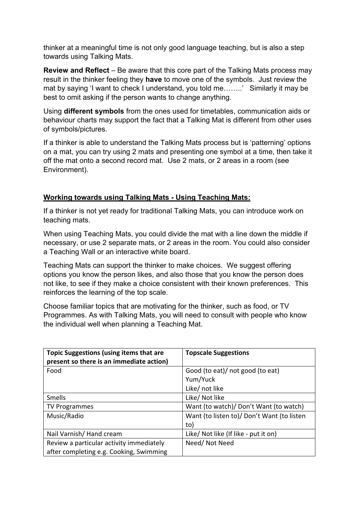thinker at a meaningful time is not only good language teaching, but is also a step towards using Talking Mats.

**Review and Reflect** – Be aware that this core part of the Talking Mats process may result in the thinker feeling they **have** to move one of the symbols. Just review the mat by saying 'I want to check I understand, you told me……..' Similarly it may be best to omit asking if the person wants to change anything.

Using **different symbols** from the ones used for timetables, communication aids or behaviour charts may support the fact that a Talking Mat is different from other uses of symbols/pictures.

If a thinker is able to understand the Talking Mats process but is 'patterning' options on a mat, you can try using 2 mats and presenting one symbol at a time, then take it off the mat onto a second record mat. Use 2 mats, or 2 areas in a room (see Environment).

# **Working towards using Talking Mats - Using Teaching Mats:**

If a thinker is not yet ready for traditional Talking Mats, you can introduce work on teaching mats.

When using Teaching Mats, you could divide the mat with a line down the middle if necessary, or use 2 separate mats, or 2 areas in the room. You could also consider a Teaching Wall or an interactive white board.

Teaching Mats can support the thinker to make choices. We suggest offering options you know the person likes, and also those that you know the person does not like, to see if they make a choice consistent with their known preferences. This reinforces the learning of the top scale.

Choose familiar topics that are motivating for the thinker, such as food, or TV Programmes. As with Talking Mats, you will need to consult with people who know the individual well when planning a Teaching Mat.

| <b>Topic Suggestions (using items that are</b><br>present so there is an immediate action) | <b>Topscale Suggestions</b>                |
|--------------------------------------------------------------------------------------------|--------------------------------------------|
| Food                                                                                       | Good (to eat)/ not good (to eat)           |
|                                                                                            | Yum/Yuck                                   |
|                                                                                            | Like/ not like                             |
| Smells                                                                                     | Like/ Not like                             |
| <b>TV Programmes</b>                                                                       | Want (to watch)/ Don't Want (to watch)     |
| Music/Radio                                                                                | Want (to listen to)/ Don't Want (to listen |
|                                                                                            | to)                                        |
| Nail Varnish/Hand cream                                                                    | Like/ Not like (If like - put it on)       |
| Review a particular activity immediately                                                   | Need/Not Need                              |
| after completing e.g. Cooking, Swimming                                                    |                                            |